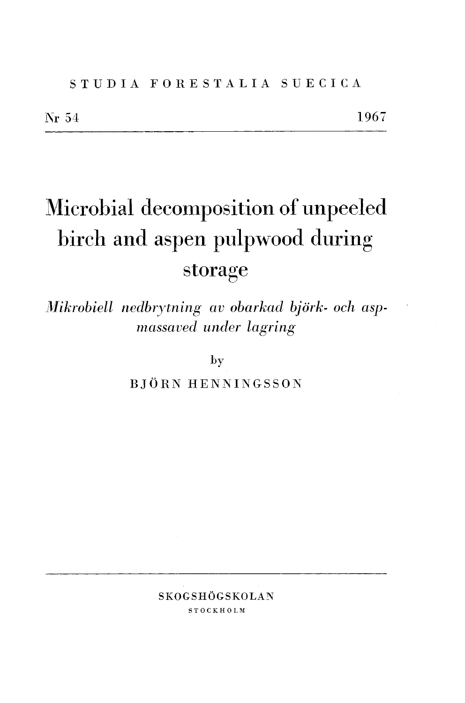# S T U D I A F O R E S T A L I A SUECICA

# Microbial decomposition of unpeeled birch and aspen pulpwood during storage

*Mikrobiell nedbrytning av obarkad björk- och aspnzassavecl under lagring* 

by

BJORN HENNINGSSON

SKOGSHÖGSKOLAN **STOCKHOLM**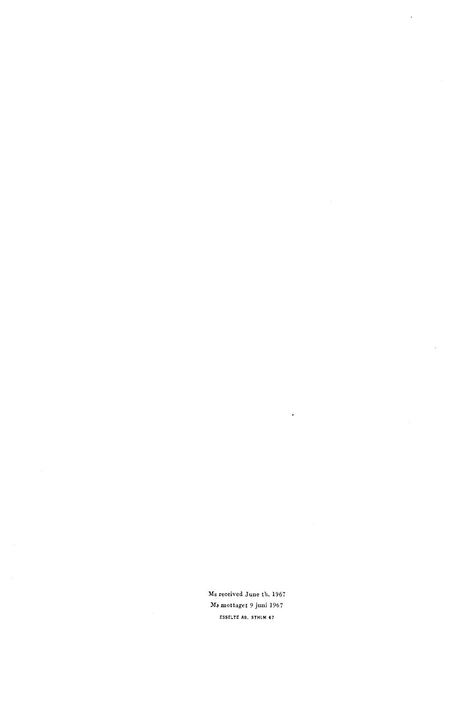**Ms received June** th. **1967 Ms mottaget** 9 **juni 1967 ESSELTE AB. STHLM 67** 

 $\overline{a}$ 

 $\ddot{\phantom{a}}$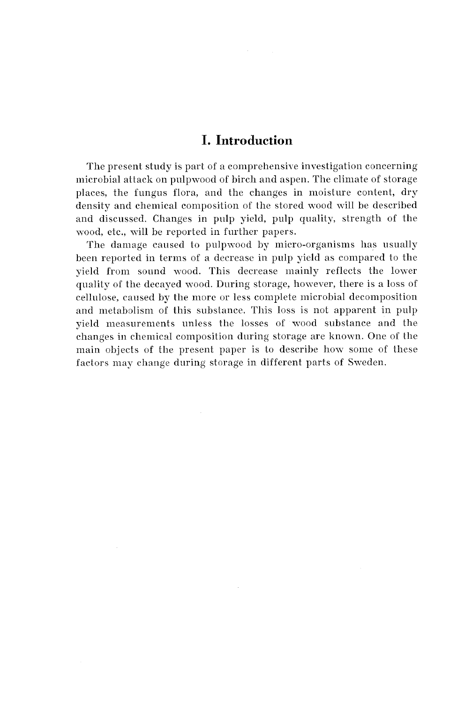# **I. Introduction**

The present study is part of a comprehensive investigation concerning microbial attack on pulpwood of birch and aspen. The climate of storage places, the fungus flora, and the changes in moisture content, dry density and chemical composition of the stored wood will be described and discussed. Changes in pulp yield, pulp quality, strength of the wood, etc., will be reported in further papers.

The damage caused to pulpwood by micro-organisms has usually been reported in terms of a decrease in pulp yield as compared to the yield from sound wood. This decrease mainly reflects the lomer quality of the decayed wood. During storage, honever, there is a loss of cellulose, caused by the more or less complete microbial decomposition and metabolism of this substance. This loss is not apparent in pulp yield measurements unless the losses of wood substance and the changes in chemical composition during storage are known. One of the main objects of the present paper is to describe how some of these factors may change during storage in different parts of Smeden.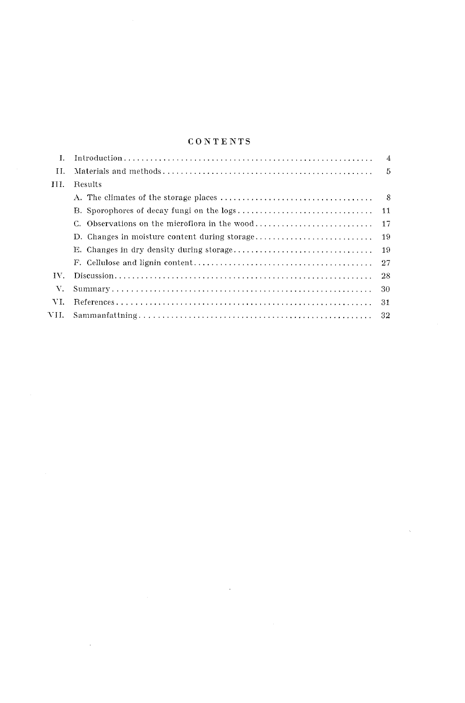## ${\bf \color{red}{C~O~N~T~E~N~T~S}}$

| L.     |                                               | $\overline{4}$ |
|--------|-----------------------------------------------|----------------|
| H.     |                                               | 5              |
| HH.    | Results                                       |                |
|        |                                               | - 8            |
|        |                                               | 11             |
|        |                                               |                |
|        | D. Changes in moisture content during storage | -19            |
|        |                                               |                |
|        |                                               |                |
| TV.    |                                               |                |
| V.     |                                               | -30            |
| VI.    |                                               | -31            |
| VII. - |                                               | 32             |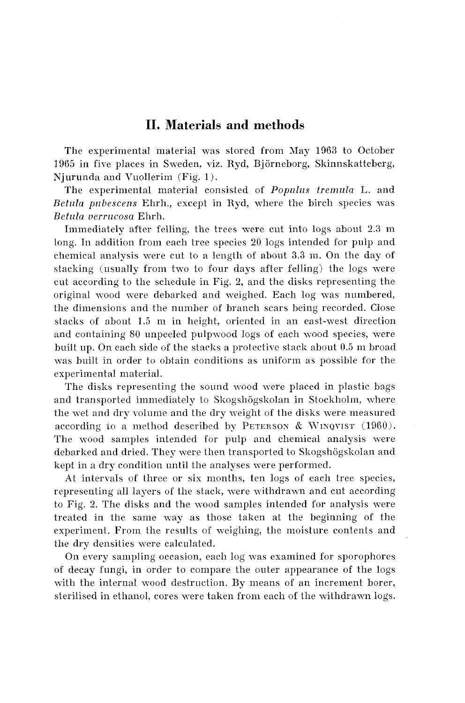# **11. Materials and methods**

The experimental material was stored from May 1963 to October 1965 in five places in Sweden, viz. Kyd, Bjorneborg, Sliinnskatteberg, Njurunda and Vuollerim  $(Fig. 1)$ .

The experimental material consisted of *Populus tremula* L. and *Betula pubescens Ehrh., except in Ryd, where the birch species was*  $Betula$  verrucosa Ehrh.

Immediately after felling, the trees were cut into logs about 2.3 m long. In addition from each tree species 20 logs intended for pulp and chemical analysis were cut to a length of about **3.3** in. On the day of stacking (usually from two to four days after felling) the logs mere cut according to the schedule in Fig. 2, and the disks representing the original nood nere debarked and weighed. Each log was numbered, the dimensions and the number of branch scars being recorded. Close stacks of about 1.5 n~ in height, oriented in an east-west direction and containing SO unpeeled pulpwood logs of each nood species, were built up. On each side of the stacks a protective stack about 0.5 m broad was built in order to obtain conditions as uniform as possible for the experimental material.

The disks representing the sound wood were placed in plastic bags and transported immediately to Skogshögskolan in Stockholm, where the wet and dry volume and the dry weight of the disks were measured according to a method described by PETERSON & WINQVIST (1960). The wood samples intended for pulp and chemical analysis were debarked and dried. They were then transported to Skogshögskolan and kept in a dry condition until the analyses were performed.

At intervals of three or six months, ten logs of each tree species, representing all layers of the stack, were mithdrawn and cut according to Fig. 2. The disks and the wood samples intended for analysis were treated in the same way as those taken at the beginning of the experiment. From the results of weighing, the moisture contents and the dry densities were calculated.

On every sampling occasion, each log was examined for sporophores of decay fungi, in order to compare the outer appearance of the logs with the internal wood destruction. By means of an increment borer, sterilised in ethanol, cores were taken from each of the vithdrawn logs.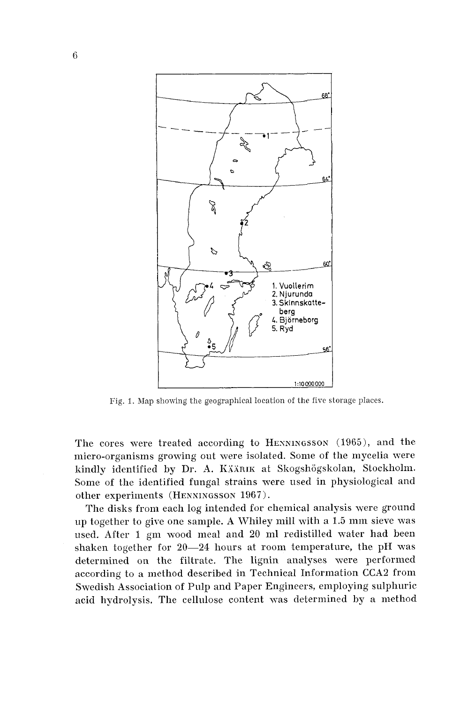

Fig. 1. Map showing the geographical location of the five storage places.

The cores were treated according to HENNINGSSON (1965), and the micro-organisms growing out were isolated. Some of the mycelia were kindly identified by Dr. A. KÄÄRIK at Skogshögskolan, Stockholm. Some of the identified fungal strains were used in physiological and other experiments (HENNINGSSON 1967).

The disks from each log intended for chemical analysis were ground up together to give one sample. A Whiley mill with a 1.5 mm sieve was used. After 1 gm wood meal and 20 ml redistilled water had been shaken together for 20-24 hours at room temperature, the pH was determined on the filtrate. The lignin analyses were performed according to a method described in Technical Information CCA2 from Swedish Association of Pulp and Paper Engineers, employing sulphuric acid hydrolysis. The cellulose content was determined by a method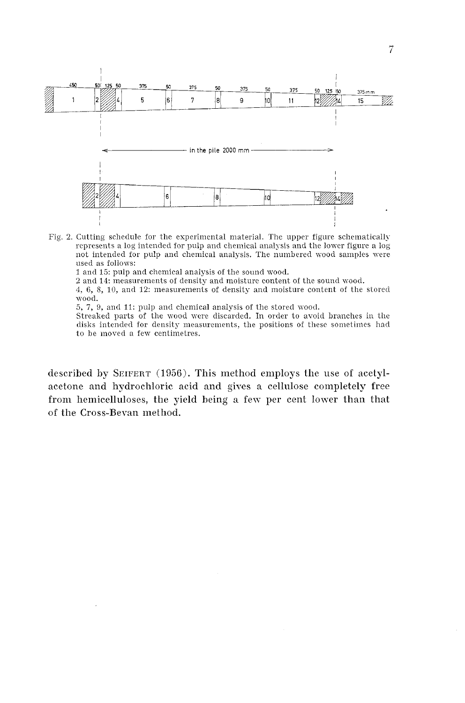

Fig. 2. Cutting schedule for the experimental material. The upper figure schematically represents a log intended for pulp and chemical analysis and the lower figure a log not intended for pulp and chemical analysis. The numbered wood samples were used as follows:

1 and 15: pulp and chemical analysis of the sound wood.

2 and 14: measurements of density and moisture content of the sound wood.

4, 6, 8, 10, and 12: measurements of density and moisture content of the stored \Vood.

5, 7, 9, and 11: pulp and chemical analysis of the stored wood.

Streaked parts of the wood were discarded. In order to avoid branches in the disks intended for density measurements, the positions of these sometimes had to be moved a few centimetres.

described by SEIFERT (1956). This method employs the use of acetylacetone and hydrochloric acid and gives a cellulose completely free from hemicelluloses, the yield being **n** fev per cent lower than that of the Cross-Beran method.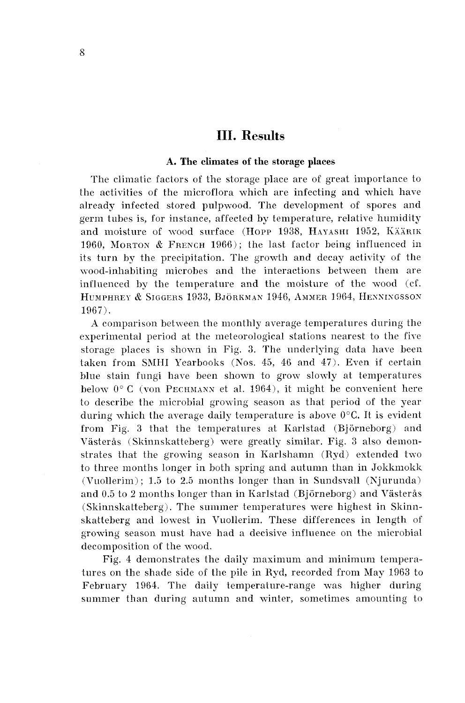# **111. Results**

#### **A. The climates of the storage places**

The climatic factors of the storage place are of great importance to the activities of the microflora which are infecting and which have already infected stored pulpmood. The development of spores and germ tubes is, for instance, affected by temperature, relative humidity and moisture of wood surface (Hopp 1938, HAYASHI 1952, KÄÄRIK 1960. MORTON  $&$  FRENCH 1966); the last factor being influenced in its turn by the precipitation. The growth and decay activity of the wood-inhabiting microbes and the interactions between them are influenced by the temperature and the moisture of the wood (cf. HUMPHREY & SIGGERS 1933, BJÖRKMAN 1946, AMMER 1964, HENNINGSSON 1967).

A comparison between the monthly average temperatures during the experimental period at the meteorological stations nearest to the five storage places is shonn in Fig. **3.** The underlying data have been taken from SMHI Yearbooks (Nos.  $45, 46$  and  $47$ ). Even if certain blue stain fungi have been shown to grow slowly at temperatures below  $0^{\circ}$  C (von PECHMANN et al. 1964), it might be convenient here to describe the microbial growing season as that period of the year during which the average daily temperature is above  $0^{\circ}C$ . It is evident from Fig. 3 that the temperatures at Karlstad (Björneborg) and Västerås (Skinnskatteberg) were greatly similar. Fig. 3 also demonstrates that the growing season in Karlshamn (Ryd) extended two to three months longer in both spring and autumn than in Jokkmokk (Vuollerim); 1.5 to 2.5 months longer than in Sundsvall (Njurunda) and 0.5 to 2 months longer than in Karlstad (Björneborg) and Västerås (Skinnskatteberg). The summer temperatures were highest in Skinnskatteberg and lowest in Vuollerim. These differences in length of growing season must have had a decisive influence on the microbial decomposition of the wood.

Fig. 4 demonstrates the daily maximum and minimum temperatures on the shade side of the pile in Kyd, recorded from May 1963 to February 1964. The daily temperature-range was higher during summer than during autumn and winter, sometimes amounting to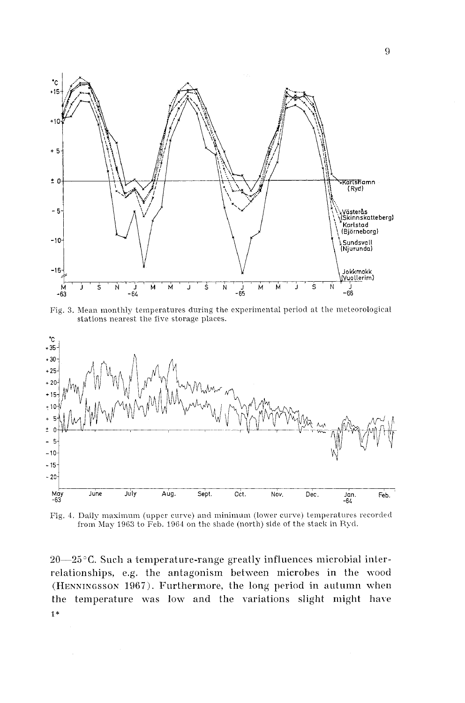

Fig. 3. Mean monthly temperatures during the experimental period at the meteorological stations nearest the five storage places.



Fig. 4. Daily maximum (upper curve) and minimum (lower curve) temperatures recorded from May 1963 to Feb. 1964 on the shade (north) side of the stack in Ryd.

 $20-25$ °C. Such a temperature-range greatly influences microbial interrelationships, e.g. the antagonism between microbes in the wood (HENNINGSSON 1067). Furthermore, the long period in autumn when the temperature was lov and the variations slight might have 1 \*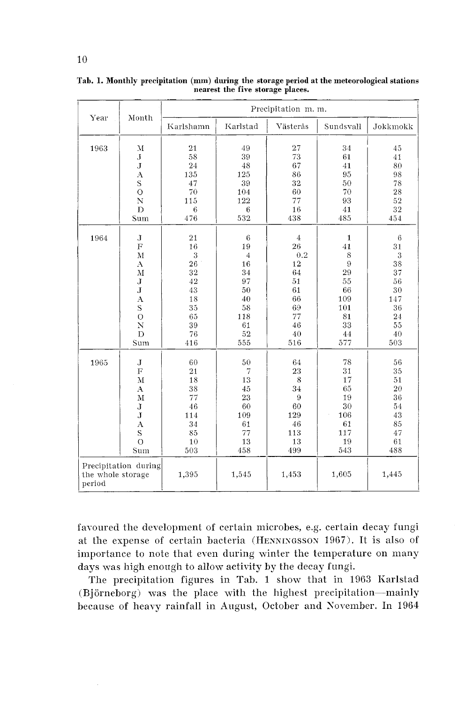| Year                                | Month                                                                                                                                     |                                                                            |                                                                                       | Precipitation m.m.                                                                       |                                                                                       |                                                                                           |
|-------------------------------------|-------------------------------------------------------------------------------------------------------------------------------------------|----------------------------------------------------------------------------|---------------------------------------------------------------------------------------|------------------------------------------------------------------------------------------|---------------------------------------------------------------------------------------|-------------------------------------------------------------------------------------------|
|                                     |                                                                                                                                           | Karlshamn                                                                  | Karlstad                                                                              | Västerås                                                                                 | Sundsvall                                                                             | Jokkmokk                                                                                  |
| 1963                                | $\mathbf{M}$<br>$_{\rm J}$<br>J<br>A<br>S<br>$\circ$<br>N<br>D<br>Sum                                                                     | 21<br>58<br>24<br>135<br>47<br>70<br>115<br>6<br>476                       | 49<br>39<br>48<br>125<br>39<br>104<br>122<br>6<br>532                                 | 27<br>73<br>67<br>86<br>32<br>60<br>77<br>16<br>438                                      | 34<br>61<br>41<br>95<br>50<br>70<br>93<br>41<br>485                                   | 45<br>41<br>80<br>98<br>78<br>28<br>52<br>32<br>454                                       |
| 1964                                | J<br>$\overline{F}$<br>M<br>$\Lambda$<br>M<br>J<br>${\bf J}$<br>А<br>$\mathbf S$<br>$\overline{O}$<br>N<br>D<br>Sum                       | 21<br>16<br>3<br>26<br>32<br>42<br>43<br>18<br>35<br>65<br>39<br>76<br>416 | 6<br>19<br>$\sqrt{4}$<br>16<br>34<br>97<br>50<br>40<br>58<br>118<br>61<br>52<br>555   | $\overline{4}$<br>26<br>0.2<br>12<br>64<br>51<br>61<br>66<br>69<br>77<br>46<br>40<br>516 | $\mathbf{1}$<br>41<br>8<br>9<br>29<br>55<br>66<br>109<br>101<br>81<br>33<br>44<br>577 | $\boldsymbol{6}$<br>31<br>3<br>38<br>37<br>56<br>30<br>147<br>36<br>24<br>55<br>40<br>503 |
| 1965<br>the whole storage<br>period | $\mathbf J$<br>$\overline{F}$<br>M<br>$\mathbf{A}$<br>$\bf M$<br>J<br>J<br>$\bf{A}$<br>S<br>$\overline{O}$<br>Sum<br>Precipitation during | 60<br>21<br>18<br>38<br>77<br>46<br>114<br>34<br>85<br>10<br>503<br>1,395  | 50<br>$\overline{7}$<br>13<br>45<br>23<br>60<br>109<br>61<br>77<br>13<br>458<br>1,545 | 64<br>23<br>8<br>34<br>9<br>60<br>129<br>46<br>113<br>13<br>499<br>1,453                 | 78<br>31<br>17<br>65<br>19<br>30<br>106<br>61<br>117<br>19<br>543<br>1,605            | 56<br>35<br>51<br>20<br>36<br>54<br>43<br>85<br>47<br>61<br>488<br>1,445                  |

**Tab. 1. Monthly precipitation (mm) during the storage period at the meteorological stations nearest the five storage places.** 

favoured the development of certain microbes, e.g. certain decay fungi at the expense of certain bacteria (HENNINGSSON 1967). It is also of importance to note that even during winter the temperature on many days was high enough to allow activity by the decay fungi.

The precipitation figures in Tab. 1 show that in 1963 Karlstad (Björneborg) was the place with the highest precipitation--mainly because of heavy rainfall in Awgust, October and Sovemher. In 1964

10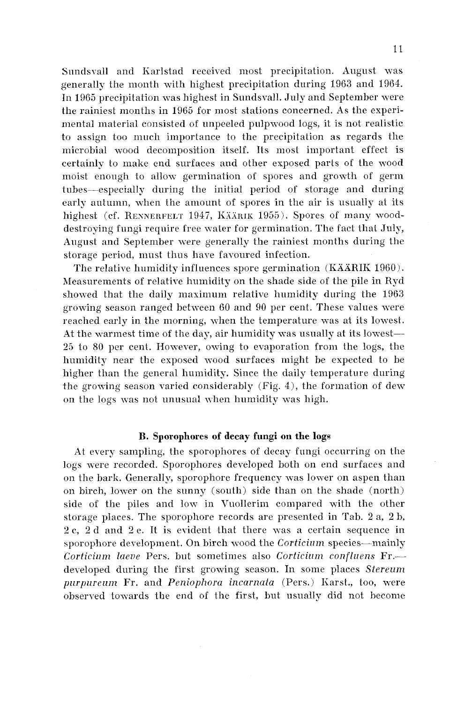Sundsvall and Karlstad received most precipitation. August was generally the month with highest precipitation during 1963 and 1964. In 1965 precipitation was highest in Sundsvall. July and September were the rainiest months in 1965 for most stations concerned. As the experimental material consisted of unpeeled pulpwood logs, it is not realistic to assign too much importance to the precipitation as regards the ~nicrobial wood decomposition itself. Its nost important effect is certainly to make end surfaces and other exposed parts of the wood moist enough to allow germination of spores and growth of germ tubes-especially during the initial period of storage and during early autumn, when the amount of spores in the air is usually at its highest (cf. RENNERFELT 1947, KÄÄRIK 1955). Spores of many wooddestroying fungi require free water for germination. The fact that July, Angust and September were generally the rainiest months during the storage period, must thus have favoured infection.

The relative humidity influences spore germination (KÄÄRIK 1960). Measurements of relative humidity on the shade side of the pile in Ryd showed that the daily maximum relative humidity during the  $1963$ growing season ranged between 60 and 90 per cent. These values were reached early in the morning, when the temperature was at its lowest. At the warmest time of the day, air humidity was usually at its lowest-**23** lo 80 per cent. However, owing to evaporation from the logs, the humidity near the exposed wood surfaces might be expected to be higher than the general humidity. Since the daily temperature during the growing season varied considerably (Fig. 4), the formation of dew on the logs was not unusual when humidity was high.

#### **B. Sporophores of decay fungi on the logs**

At every sampling, the sporophores of decay fungi occurring on the logs were recorded. Sporophores developed both on end surfaces and on the bark. Generally, sporophore frequency was lower on aspen than on birch, lower on the sunny (south) side than on the shade (north) side of the piles and low in Vuollerim compared with the other storage places. The sporophore records are presented in Tab. *2* a, *2* b, 2c, 2d and 2e. It is evident that there was a certain sequence in sporophore development. On birch wood the *Corticium* species—mainly *Corticium laeve* Pers. but sometimes also *Corticium confluens* Fr.developed during the first growing season. In some places *Stereum purpureum* Fr. and *Peniophora incarnata* (Pers.) Karst., too, were obserwd tovards the end of the first, but usually did not become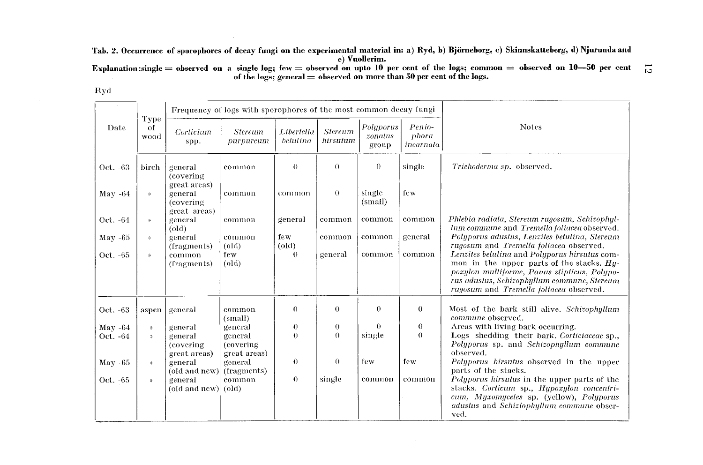**Tab. 2. Occurrence of sporophores of decay fungi on the experimental material in: a) Ryd, b) Bjorneborg, c) Skinnskatteberg, d) Njurunda and e) Vuollerim.** 

Explanation:single = observed on a single log; few = observed on upto 10 per cent of the logs; common = observed on 10–50 per cent  $\overleftrightarrow{C}$ 

|--|--|

|           |                    |                                       | Frequency of logs with sporophores of the most common decay fungi |                        |                            |                               |                              |                                                                                                                                                                                                                                        |
|-----------|--------------------|---------------------------------------|-------------------------------------------------------------------|------------------------|----------------------------|-------------------------------|------------------------------|----------------------------------------------------------------------------------------------------------------------------------------------------------------------------------------------------------------------------------------|
| Date      | Type<br>of<br>wood | Corticium<br>spp.                     | <b>Stereum</b><br>purpureum                                       | Libertella<br>betulina | <b>Stereum</b><br>hirsutum | Polyporus<br>zonatus<br>group | Penio-<br>phora<br>incarnala | <b>Notes</b>                                                                                                                                                                                                                           |
| Oct. -63  | birch              | general<br>(covering)<br>great areas) | common                                                            | $\theta$               | $\theta$                   | $\theta$                      | single                       | Trichoderma sp. observed.                                                                                                                                                                                                              |
| $Mav -64$ | D.                 | general<br>(covering<br>great areas)  | common                                                            | common                 | $\theta$                   | single<br>(small)             | few                          |                                                                                                                                                                                                                                        |
| Oct. -64  | <b>&gt;&gt;</b>    | general<br>$\text{old}$               | common                                                            | general                | common                     | common                        | common                       | Phlebia radiata, Stereum rugosum, Schizophyl-<br>lum commune and Tremella foliacea observed.                                                                                                                                           |
| May $-65$ | $\eta$             | general<br>(fragments)                | common<br>$\text{(old)}$                                          | few<br>$\text{(old)}$  | common                     | common                        | general                      | Polyporus adustus, Lenzites betulina, Stereum<br>rugosum and Tremella foliacea observed.                                                                                                                                               |
| Oct. -65  | $\mathcal{D}$      | common<br>(fragments)                 | few.<br>$\text{(old)}$                                            | $\theta$               | general                    | common                        | common                       | Lenzites betulina and Polyporus hirsutus com-<br>mon in the upper parts of the stacks. $Hy-$<br>poxylon multiforme, Panus stipticus, Polypo-<br>rus adustus, Schizophyllum commune, Stereum<br>rugosum and Tremella foliacea observed. |
| Oct. -63  | aspen              | general                               | common<br>(small)                                                 | $\Omega$               | $\theta$                   | $\Omega$                      | $\theta$                     | Most of the bark still alive. Schizophyllum<br>commune observed.                                                                                                                                                                       |
| $May -64$ | $\gamma_{l}$       | general                               | general                                                           | $\theta$               | $\boldsymbol{0}$           | $\Omega$                      | $\theta$                     | Areas with living bark occurring.                                                                                                                                                                                                      |
| Oct. -64  | $\mathbf{N}$       | general<br>(covering)<br>great areas) | general<br>(covering)<br>great areas)                             | $\Omega$               | $\theta$                   | single                        | $\theta$                     | Logs shedding their bark. Corticiaceae sp.,<br>Polyporus sp. and Schizophyllum commune<br>observed.                                                                                                                                    |
| $May -65$ | $\eta$             | general<br>(old and new)              | general<br>(fragments)                                            | 0                      | $\overline{0}$             | few                           | few                          | Polyporus hirsutus observed in the upper<br>parts of the stacks.                                                                                                                                                                       |
| Oct. -65  | $\mathcal{Y}$      | general<br>(old and new)              | common<br>$\text{(old)}$                                          | $\theta$               | single                     | common                        | common                       | Polyporus hirsulus in the upper parts of the<br>stacks. Corticum sp., Hypoxylon concentri-<br>cum, Myxomycetes sp. (yellow), Polyporus<br>adustus and Schiziophyllum commune obser-<br>yed.                                            |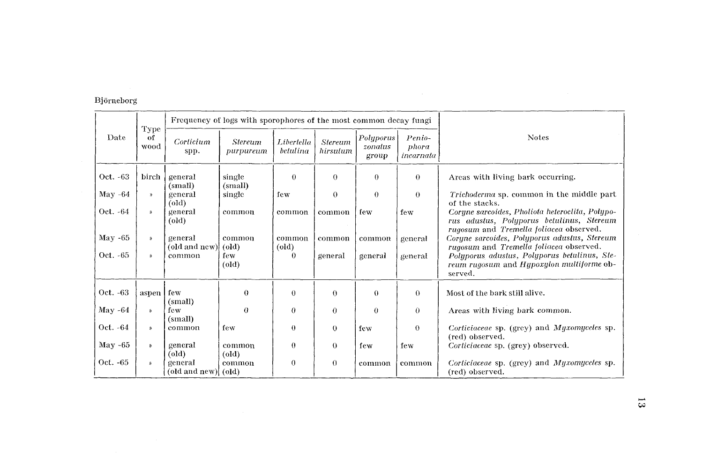# Björneborg

|           | Type       |                                | Frequency of logs with sporophores of the most common decay fungi |                          |                            |                               |                              |                                                                                                                                         |
|-----------|------------|--------------------------------|-------------------------------------------------------------------|--------------------------|----------------------------|-------------------------------|------------------------------|-----------------------------------------------------------------------------------------------------------------------------------------|
| Date      | of<br>wood | Corticium<br>spp.              | <b>Stereum</b><br>purpureum                                       | Libertella<br>betulina   | <b>Stereum</b><br>hirsulum | Polyporus<br>zonatus<br>group | Penio-<br>phora<br>incarnata | <b>Notes</b>                                                                                                                            |
| Oct. -63  | birch      | general<br>(small)             | single<br>(small)                                                 | $\Omega$                 | $\theta$                   | $\theta$                      | $\theta$                     | Areas with living bark occurring.                                                                                                       |
| May $-64$ | $\lambda$  | general<br>(old)               | single                                                            | few                      | $\theta$                   | $\theta$                      | $\theta$                     | Trichoderma sp. common in the middle part<br>of the stacks.                                                                             |
| Oct. -64  | D.         | general<br>(old)               | common                                                            | common                   | common                     | few                           | few                          | Corune sarcoides, Pholiota heteroclita, Polypo-<br>rus adustus, Polyporus betulinus, Stereum<br>rugosum and Tremella foliacea observed. |
| May -65   | D)         | general<br>(old and new) (old) | common                                                            | common<br>$\text{(old)}$ | common                     | common                        | general                      | Coryne sarcoides, Polyporus adustus, Stereum<br>rugosum and Tremella foliacea observed.                                                 |
| Oct. -65  | y)         | common                         | few<br>$\text{(old)}$                                             | $\Omega$                 | general                    | general                       | general                      | Polyporus adustus, Polyporus betulinus, Ste-<br>reum rugosum and Hypoxylon multiforme ob-<br>served.                                    |
| Oct. -63  | aspen      | few<br>(small)                 | $\theta$                                                          | $\theta$                 | $\theta$                   | $\Omega$                      | $\Omega$                     | Most of the bark still alive.                                                                                                           |
| May -64   | Y)         | few<br>(small)                 | $\theta$                                                          | $\theta$                 | $\theta$                   | $\Omega$                      | $\theta$                     | Areas with living bark common.                                                                                                          |
| Oct. -64  | $\lambda$  | common                         | few                                                               | $\theta$                 | $\theta$                   | few                           | $\theta$                     | Corticiaceae sp. (grey) and Myxomycetes sp.<br>(red) observed.                                                                          |
| May -65   | Y)         | general<br>(old)               | common<br>$\text{(old)}$                                          | $\theta$                 | $\theta$                   | few                           | few                          | Corticiaceae sp. (grey) observed.                                                                                                       |
| Oct. -65  | $\lambda$  | general<br>(old and new) (old) | common                                                            | 0                        | $\theta$                   | common                        | common                       | Corticiaceae sp. (grey) and Myxomyceles sp.<br>(red) observed.                                                                          |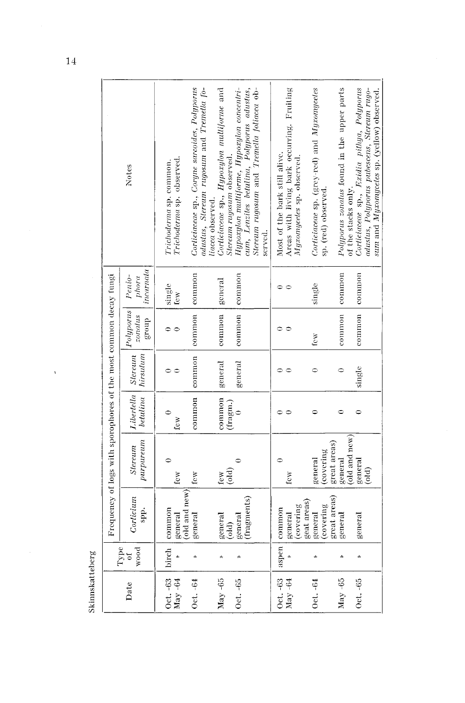|                                                                   | Notes                                       | Trichoderma sp. observed.<br>Trichoderma sp. common. | Corticiaceae sp., Coryne sarcoides, Polyporus<br>adustus, Stereum rugosum and Tremella fo- | Corticiaceae sp., Hypoxylon multiforme and<br>Stereum rugosum observed.<br>liacea observed. | eum, Lenzites betulina, Polyporus adustus,<br>Hypoxylon multiforme, Hypoxylon concentri-<br>Stereum rugosum and Tremella foliacea ob-<br>served. | Areas with living bark occurring. Fruiting<br>Most of the bark still alive.<br>Myxomycetes sp. observed. | Corticiaceae sp. (grey-red) and Myxomycetes<br>sp. (red) observed. | Polyporus zonalus found in the upper parts<br>of the stacks only. | Corticiaceae sp., Exidia pilhya, Polyporus<br>adustus, Polyporus pubescens, Stereum rugo-<br>sum and Myxomyceles sp. (yellow) observed |
|-------------------------------------------------------------------|---------------------------------------------|------------------------------------------------------|--------------------------------------------------------------------------------------------|---------------------------------------------------------------------------------------------|--------------------------------------------------------------------------------------------------------------------------------------------------|----------------------------------------------------------------------------------------------------------|--------------------------------------------------------------------|-------------------------------------------------------------------|----------------------------------------------------------------------------------------------------------------------------------------|
|                                                                   | incarnata<br>Penio-<br>phora                | single<br>Icw                                        |                                                                                            | general                                                                                     |                                                                                                                                                  |                                                                                                          | single                                                             | common                                                            |                                                                                                                                        |
|                                                                   | Polyporus <sup> </sup><br>zonalus<br>dno.fa | 0 €                                                  | common   common                                                                            | common                                                                                      | common   common                                                                                                                                  | $\mathord{\circ}$<br>$\circ$                                                                             | few                                                                | common                                                            | common   common                                                                                                                        |
|                                                                   | hirsutum<br><b>Slereum</b>                  | $\bullet$<br>$\epsilon$                              | common                                                                                     | general                                                                                     | general                                                                                                                                          |                                                                                                          | $\bullet$                                                          | $\circ$                                                           | single                                                                                                                                 |
|                                                                   | Libertella<br>$b$ etulina                   | $\bullet$<br>few                                     | common                                                                                     | common<br>(fragm.)                                                                          |                                                                                                                                                  | $\circ$<br>0                                                                                             | $\bullet$                                                          | $\circ$                                                           | $\bullet$                                                                                                                              |
| Frequency of logs with sporophores of the most common decay fungi | purpureum<br>Stereum                        | few                                                  | few                                                                                        | $\left($ old $\right)$<br>few                                                               |                                                                                                                                                  | few                                                                                                      | (covering<br>general                                               | (old and new)<br>great areas)<br>general                          | general<br>$\binom{1}{0}$                                                                                                              |
|                                                                   | Corticium<br>spp.                           | (old and new)<br>common<br>general                   | general                                                                                    | general<br>(dd)                                                                             | (fragments)<br>general                                                                                                                           | (covering<br>aspen   common<br>general                                                                   | geat areas)<br>(covering<br>general                                | great areas)<br>general                                           | general                                                                                                                                |
|                                                                   | wood<br>Type<br>đ                           | birch                                                |                                                                                            | Ä                                                                                           |                                                                                                                                                  |                                                                                                          |                                                                    |                                                                   |                                                                                                                                        |
|                                                                   | Date                                        | Oct. -63<br>$\text{May } -64$                        | Oct. -64                                                                                   | $May -65$                                                                                   | Oct. -65                                                                                                                                         | Oct. -63<br>$May -64$                                                                                    | $0$ ct. $-64$                                                      | $May -65$                                                         | Oct. -65                                                                                                                               |

 $\overline{14}$ 

Skinnskatteberg

ï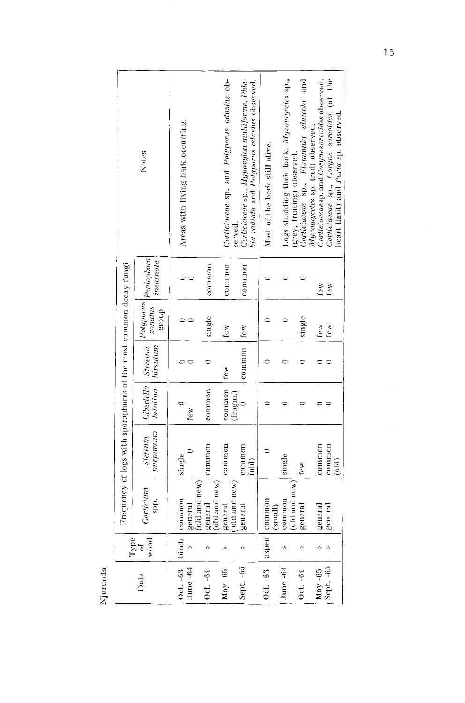|                                                                   | Notes                            | Areas with living bark occurring.     |                          | Corticiaceae sp. and Polyporus adustus ob- | Corticiaceae sp., Hypoxylon mulliforme, Phle-<br>bia radiata and Polyporus adustus observed.<br>served. | Most of the bark still alive. | Logs shedding their bark. Myxomyceles sp., | Corticiaceae sp., Flammula alnicola and<br>(grey, fruiting) observed. | Corticuaceae sp. and Coryne sarcoides observed.<br>Myromycetes sp. (red) observed. | Corticiaceae sp., Coryne sarcoides (at the<br>heart limit) and Poria sp. obscrved. |
|-------------------------------------------------------------------|----------------------------------|---------------------------------------|--------------------------|--------------------------------------------|---------------------------------------------------------------------------------------------------------|-------------------------------|--------------------------------------------|-----------------------------------------------------------------------|------------------------------------------------------------------------------------|------------------------------------------------------------------------------------|
|                                                                   | Peniophora<br>incarnala          |                                       | common                   | common                                     | common                                                                                                  |                               |                                            |                                                                       | few                                                                                | few                                                                                |
|                                                                   | Polyporus<br>zondus<br>group     |                                       | single                   | few                                        | $ $ few                                                                                                 |                               |                                            | single                                                                | few                                                                                | <b>few</b>                                                                         |
|                                                                   | Libertella   Stereum<br>hirsulum |                                       | ≎                        | few                                        | comm                                                                                                    |                               |                                            |                                                                       |                                                                                    |                                                                                    |
|                                                                   | betulina                         | few                                   | common                   | common                                     | (fragm.)                                                                                                |                               |                                            |                                                                       |                                                                                    |                                                                                    |
| Frequency of logs with sporophores of the most common decay fungi | purpureum<br>Slereum             | single                                | common                   | common                                     | common<br>$\ddot{a}$                                                                                    |                               | single                                     | few                                                                   | common                                                                             | common<br>$\overline{0}$                                                           |
|                                                                   | Corticium<br>spp.                | (old and $new$ )<br>common<br>general | (old and new)<br>general | old and $new$ )<br>general                 | general                                                                                                 | aspen   common<br>(small)     | (old and new)<br>common                    | gencral                                                               | general                                                                            | general                                                                            |
| Type                                                              | wood<br>ð                        | birch                                 |                          |                                            |                                                                                                         |                               |                                            |                                                                       |                                                                                    |                                                                                    |
|                                                                   | Date                             | Oct. -63<br>June $-64$                | Oct. -64                 | May-65                                     | Sept. - 65                                                                                              | Oct. -63                      | June-64                                    | Oct. - 64                                                             | Sept. - 65<br>$May -65$                                                            |                                                                                    |

Njurunda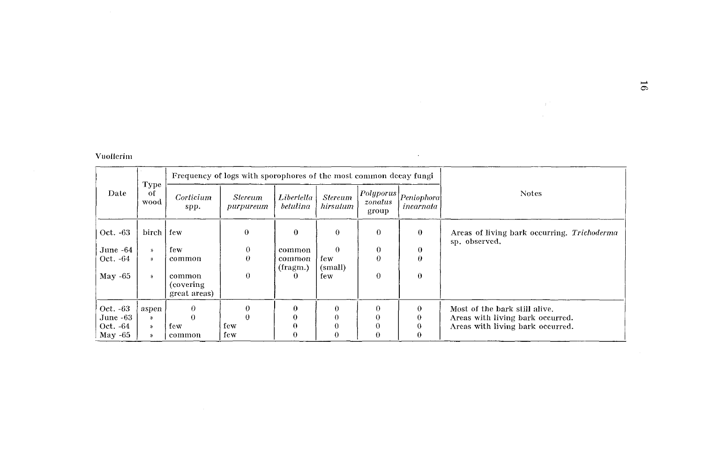### Vuollerim

|           |                    |                                      | Frequency of logs with sporophores of the most common decay fungi |                          |                            |                                |                          |                                                              |
|-----------|--------------------|--------------------------------------|-------------------------------------------------------------------|--------------------------|----------------------------|--------------------------------|--------------------------|--------------------------------------------------------------|
| Date      | Type<br>of<br>wood | Corticium<br>spp.                    | <i><b>Stereum</b></i><br>purpureum                                | Libertella<br>betulina   | <b>Stereum</b><br>hirsulum | Polyporus <br>zonatus<br>group | Peniophora <br>incarnata | <b>Notes</b>                                                 |
| Oct. -63  | birch   few        |                                      | $\theta$                                                          | $\bf{0}$                 | $\theta$                   | $\theta$                       | $\bf{0}$                 | Areas of living bark occurring. Trichoderma<br>sp. observed. |
| June -64  | $\lambda$          | few                                  | $\mathbf{0}$                                                      | common                   | $\Omega$                   | $\bf{0}$                       | $\theta$                 |                                                              |
| Oct. -64  | $\mathcal{Y}$      | common                               | $\theta$                                                          | common<br>$($ fragm. $)$ | few<br>(small)             | $\Omega$                       | $\theta$                 |                                                              |
| May $-65$ | y)                 | common<br>(covering)<br>great areas) | $\Omega$                                                          | 0                        | few                        | $\Omega$                       | $\theta$                 |                                                              |
| Oct. -63  | aspen              | $\Omega$                             | 0                                                                 | $\theta$                 | $\Omega$                   | $\Omega$                       | $\Omega$                 | Most of the bark still alive.                                |
| June -63  | »                  |                                      | $\Omega$                                                          |                          | 0                          | 0                              | 0                        | Areas with living bark occurred.                             |
| Oct. -64  | - 82               | few                                  | few                                                               | 0                        | $\Omega$                   | $\Omega$                       | 0                        | Areas with living bark occurred.                             |
| May -65   | $\mathbf{v}$       | common                               | few                                                               | 0                        | $\Omega$                   | 0                              | 0                        |                                                              |

 $\mathcal{L}_{\text{max}}$  and  $\mathcal{L}_{\text{max}}$  and  $\mathcal{L}_{\text{max}}$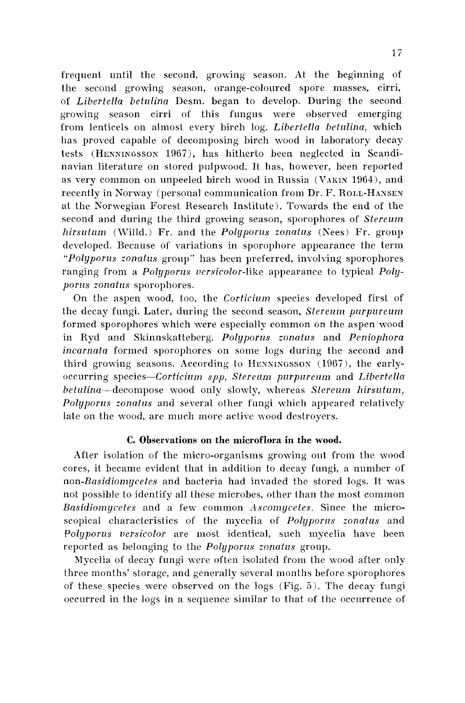frequent until the second, growing season. At the beginning of the second growing season, orange-coloured spore masses, cirri, of Libertella betrllina Desm. began to develop. During the second growing season cirri of this fungus were observed emerging from lenticels on almost every birch log. Libertella betalina, which has proved capable of decomposing birch wood in laboratory decay tests (HENNINGSSON 1967), has hitherto been neglected in Scandinavian literature on stored pulpwood. It has, however, been reported as very common on unpeeled birch wood in Russia (VAKIN 1964), and recently in Norway (personal communication from Dr. F. ROLL-HANSEY at the Norwegian Forest Research Institute). Towards the end of the second and during the third growing season, sporophores of Stereum hirsutum (Willd.) Fr. and the Polyporus zonatus (Nees) Fr. group developed. Because of variations in sporophore appearance the term "Polyporus zonatus gronp" has been preferred, involving sporophores ranging from a Polyporus versicolor-like appearance to typical Polyporus zonatus sporophores.

On the aspen wood, too, the Corticium species developed first of the decay fungi. Later, during the second season, Stereum purpureum formed sporophores which were especially common on the aspen wood in Ryd and Skinnskatteberg. Polyporus zonatus and Peniophora incarnata formed sporophores on some logs during the second and third growing seasons. According to HENNINGSSON  $(1967)$ , the earlyoccurring species-Corticium spp, Stereum purpureum and Libertella betulina--decompose wood only slowly, whereas Stereum hirsutum, Polyporus zonatus and several other fungi which appeared relatively late on the wood, arc much more active vood destroyers.

# **C. Observations on the microflora in the wood.**

After isolation of the micro-organisms growing out from the wood cores, it became evident that in addition to decay fungi, a number of non-Basidiomycetes and bacteria had invaded the stored logs. It was not possible to identify all these microbes, other than the most common Basidiomycetes and a few common Ascomycetes. Since the microscopical characteristics of the mycelia of Polyporus zonatus and Polyporus versicolor are most identical, such mycelia have been reported as belonging to the *Polyporus zonatus* group.

Mycelia of decay fungi were often isolated from the wood after only three months' storage, and generally several months before sporophores of these species were observed on the logs (Fig. *5).* The decay fungi occurred in the logs in a sequence similar to that of the occurrence of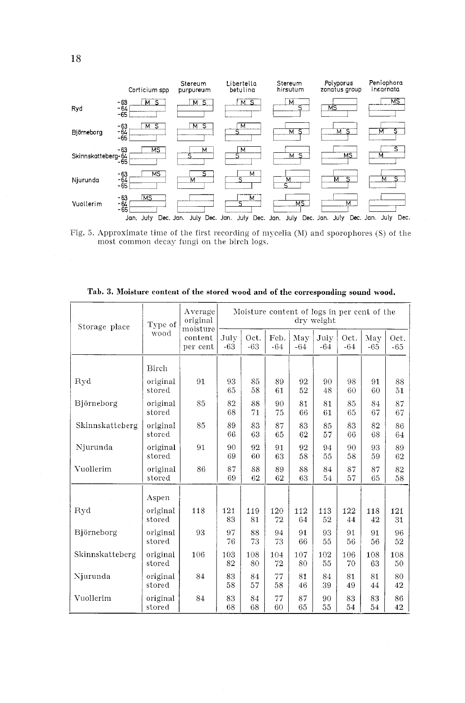

Fig. 5. Approximate time of the first recording of mycelia (M) and sporophores (S) of the most common decay fungi on the birch logs.

|                 | Tab. 3. Moisture content of the stored wood and of the corresponding sound wood. |                                 |                                                           |               |               |              |               |               |              |               |  |  |  |
|-----------------|----------------------------------------------------------------------------------|---------------------------------|-----------------------------------------------------------|---------------|---------------|--------------|---------------|---------------|--------------|---------------|--|--|--|
| Storage place   | Type of                                                                          | Average<br>original<br>moisture | Moisture content of logs in per cent of the<br>dry weight |               |               |              |               |               |              |               |  |  |  |
|                 | wood                                                                             | content<br>per cent             | July<br>$-63$                                             | Oct.<br>$-63$ | Feb.<br>$-64$ | May<br>$-64$ | July<br>$-64$ | Oct.<br>$-64$ | May<br>$-65$ | Oct.<br>$-65$ |  |  |  |
|                 | <b>Birch</b>                                                                     |                                 |                                                           |               |               |              |               |               |              |               |  |  |  |
| Ryd             | original<br>stored                                                               | 91                              | 93<br>65                                                  | 85<br>58      | 89<br>61      | 92<br>52     | 90<br>48      | 98<br>60      | 91<br>60     | 88<br>51      |  |  |  |
| Björneborg      | original<br>stored                                                               | 85                              | 82<br>68                                                  | 88<br>71      | 90<br>75      | 81<br>66     | 81<br>61      | 85<br>65      | 84<br>67     | 87<br>67      |  |  |  |
| Skinnskatteberg | original<br>stored                                                               | 85                              | 89<br>66                                                  | 83<br>63      | 87<br>65      | 83<br>62     | 85<br>57      | 83<br>66      | 82<br>68     | 86<br>64      |  |  |  |
| Njurunda        | original<br>stored                                                               | 91                              | 90<br>69                                                  | 92<br>60      | 91<br>63      | 92<br>58     | 94<br>55      | 90<br>58      | 93<br>59     | 89<br>62      |  |  |  |
| Vuollerim       | original<br>stored                                                               | 86                              | 87<br>69                                                  | 88<br>62      | 89<br>62      | 88<br>63     | 84<br>54      | 87<br>57      | 87<br>65     | 82<br>58      |  |  |  |
|                 | Aspen                                                                            |                                 |                                                           |               |               |              |               |               |              |               |  |  |  |
| Ryd             | original<br>stored                                                               | 118                             | 121<br>83                                                 | 119<br>81     | 120<br>72     | 112<br>64    | 113<br>52     | 122<br>44     | 118<br>42    | 121<br>31     |  |  |  |
| Björneborg      | original<br>stored                                                               | 93                              | 97<br>76                                                  | 88<br>73      | 94<br>73      | 91<br>66     | 93<br>55      | 91<br>56      | 91<br>56     | 96<br>52      |  |  |  |
| Skinnskatteberg | original<br>stored                                                               | 106                             | 103<br>82                                                 | 108<br>80     | 104<br>72     | 107<br>80    | 102<br>55     | 106<br>70     | 108<br>63    | 108<br>50     |  |  |  |
| Njurunda        | original<br>stored                                                               | 84                              | 83<br>58                                                  | 84<br>57      | 77<br>58      | 81<br>46     | 84<br>39      | 81<br>49      | 81<br>44     | 80<br>42      |  |  |  |
| Vuollerim       | original<br>stored                                                               | 84                              | 83<br>68                                                  | 84<br>68      | 77<br>60      | 87<br>65     | 90<br>55      | 83<br>54      | 83<br>54     | 86<br>42      |  |  |  |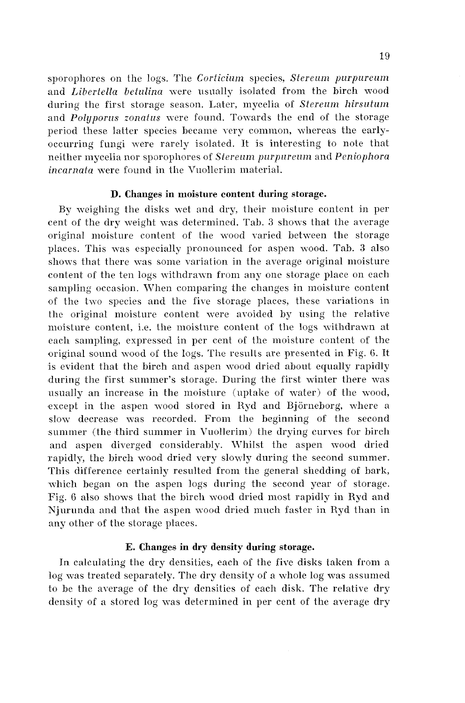sporophores on the logs. The *Corticium* species, *Stereum purpureum* and *Libertella betulina* were usually isolated from the birch wood during the first storage season. Later, mycelia of *Stereum hirsutum* and *Polyporus zonatus* were found. Towards the end of the storage period these latter species became very common, whereas the earlyoccurring fungi were rarely isolated. It is interesting to note that neither mycelia nor sporophores of *Stereum purpureum* and *Peniophora incarnata* were found in the Vuollerim material.

#### **D. Changes in moisture content during storage.**

By weighing the disks wet and dry, their moisture content in per cent of the dry weight mas determined. Tab. **3** shons that the average original moisture content of the wood varied between the storage places. This was especially pronounced for aspen wood. Tab. 3 also shows that there was some variation in the average original moisture content of the ten logs withdrawn from any one storage place on each sampling occasion. When comparing the changes in moisture content of the two species and the five storage places, these variations in the original moisture content were avoided by using the relative moisture content, i.e. the moisture content of the logs xithdrawn at each sampling, expressed in per cent of the moisture content of the original sound wood of the logs. 'The results are presented in Fig. **6.** It is evident that the birch and aspen wood dried about equally rapidly during the first summer's storage. During the first winter there mas usually an increase in the moisture (uptake of water) of the wood, except in the aspen wood stored in Ryd and Björneborg, where a slow decrease was recorded. From the beginning of the second summer (the third summer in Vuollerim) the drying curves for birch and aspen diverged considerably. IVhilst the aspen mood dried rapidly, the birch wood dried very slowly during the second summer. This difference certainly resulted from the general shedding of bark, which began on the aspen logs during the second year of storage. Fig. *G* also shows that the birch wood dried most rapidly in Ryd and Njurunda and that the aspen wood dried much faster in Ryd than in any other of the storage places.

### **E. Changes in dry density during storage.**

In calculating the dry densities, each of the five disks taken from a log was treated separately. The dry density of a whole log was assumed to be the average of the dry densities of each disk. The relative dry density of a stored log was determined in per cent of the average dry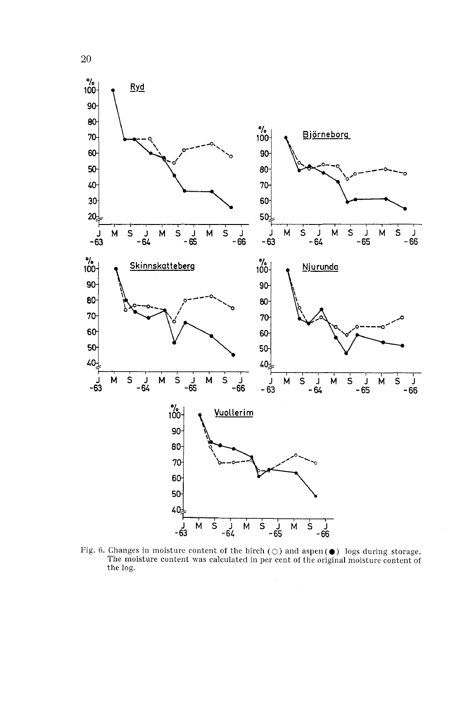

20

Fig. 6. Changes in moisture content of the birch ( $\bigcirc$ ) and aspen( $\bigcirc$ ) logs during storage.<br>The moisture content was calculated in per cent of the original moisture content of the log.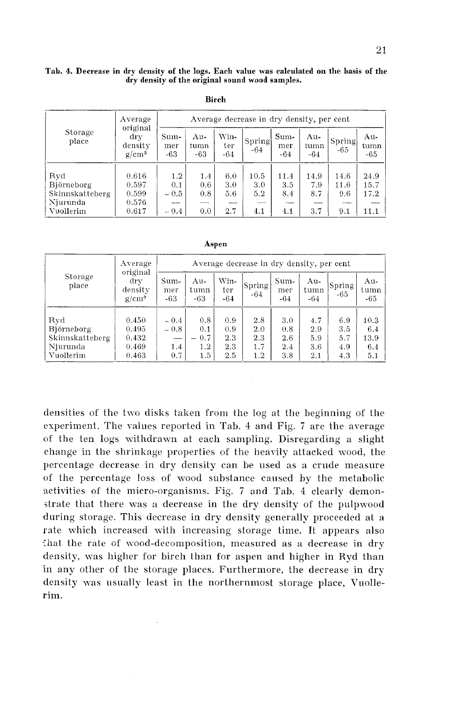| Tab. 4. Decrease in dry density of the logs. Each value was calculated on the basis of the<br>dry density of the original sound wood samples. |                            |                                           |                      |                    |                    |                      |                    |                     |                      |  |  |  |
|-----------------------------------------------------------------------------------------------------------------------------------------------|----------------------------|-------------------------------------------|----------------------|--------------------|--------------------|----------------------|--------------------|---------------------|----------------------|--|--|--|
| Birch                                                                                                                                         |                            |                                           |                      |                    |                    |                      |                    |                     |                      |  |  |  |
|                                                                                                                                               | Average<br>original        | Average decrease in dry density, per cent |                      |                    |                    |                      |                    |                     |                      |  |  |  |
| Storage<br>place                                                                                                                              | dry<br>density<br>$g/cm^3$ | Sum-<br>mer<br>$-63$                      | Au-<br>tumn<br>$-63$ | Win-<br>ter<br>-64 | Spring<br>-64      | Sum-<br>mer<br>$-64$ | Au-<br>tumn<br>-64 | Spring<br>$-65$     | Au-<br>tumn<br>$-65$ |  |  |  |
| Ryd<br>Björneborg<br>Skinnskatteberg                                                                                                          | 0.616<br>0.597<br>0.599    | 1.2<br>0.1<br>$-0.5$                      | 1.4<br>0.6<br>0.8    | 6.0<br>3.0<br>5.6  | 10.5<br>3.0<br>5.2 | 11.4<br>3.5<br>8.4   | 14.9<br>7.9<br>8.7 | 14.6<br>11.6<br>9.6 | 24.9<br>15.7<br>17.2 |  |  |  |
| Njurunda<br>Vuollerim                                                                                                                         | 0.576<br>0.617             | $-0.4$                                    | 0.0                  | 2.7                | 4.1                | 4.1                  | 3.7                | $ -$<br>9.1         | 11.1                 |  |  |  |

| ۰. |
|----|
|----|

|                  | Average<br>original<br>drv<br>density<br>$g/cm^3$ | Average decrease in dry density, per cent |                      |                      |                 |                      |                      |                 |                      |  |  |
|------------------|---------------------------------------------------|-------------------------------------------|----------------------|----------------------|-----------------|----------------------|----------------------|-----------------|----------------------|--|--|
| Storage<br>place |                                                   | Sum-<br>mer<br>$-63$                      | Au-<br>tumn<br>$-63$ | Win-<br>ter<br>$-64$ | Spring<br>$-64$ | Sum-<br>mer<br>$-64$ | Au-<br>tumn<br>$-64$ | Spring<br>$-65$ | Au-<br>tumn<br>$-65$ |  |  |
|                  |                                                   |                                           |                      |                      |                 |                      |                      |                 |                      |  |  |
| Ryd              | 0.450                                             | $-0.4$                                    | 0.8                  | 0.9                  | 2.8             | 3.0                  | 4.7                  | 6.9             | 10.3                 |  |  |
| Björneborg       | 0.495                                             | $-0.8$                                    | 0.1                  | 0.9                  | 2.0             | 0.8                  | 2.9                  | 3.5             | 6.4                  |  |  |
| Skinnskatteberg  | 0.432                                             |                                           | $-0.7$               | 2.3                  | 2.3             | 2.6                  | 5.9                  | 5.7             | 13.9                 |  |  |
| Njurunda         | 0.469                                             | 1.4                                       | 1.2 <sub>1</sub>     | 2.3                  | 1.7             | 2.4                  | 3.6                  | 4.9             | 6.4                  |  |  |
| Vuollerim        | 0.463                                             | 0.7                                       | 1.5                  | 2.5                  | 1.2             | 3.8                  | 2.1                  | 4.3             | 5.1                  |  |  |

densities of the two disks taken from the log at the beginning of the experiment. The values reported in Tab. 4 and Fig. *7* are the average of the ten logs withdrawn at each sampling. Disregarding a slight change in the shrinkage properties of the heavily attacked wood, the percentage decrease in dry density can be used as a crude measure of the percentage loss of wood substance caused by the metabolic activities of the micro-organisms. Fig. 7 and Tab. 4 clearly demonstrate that there was a decrease in the dry density of the pulpwood during storage. This decrease in dry density generally proceeded at a rate which increased with increasing storage time. It appears also that the rate of wood-decomposition, measured as a decrease in dry density, was higher for birch than for aspen and higher in Ryd than in any other of the storage places. Furthermore, the decrease in dry density was usually least in the northernmost storage place, Vuollerim.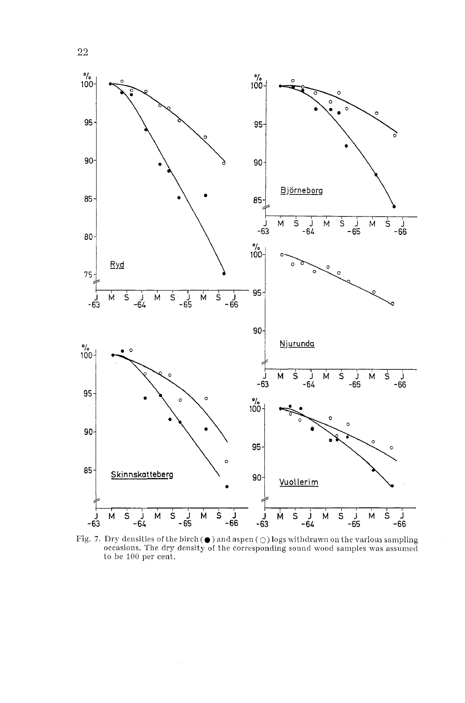

Fig. 7. Dry densities of the birch (  $\bullet$  ) and aspen (  $\bigcirc$  ) logs withdrawn on the various sampling occasions. The dry density of the corresponding sound wood samples was assumed to be 100 per cent.

22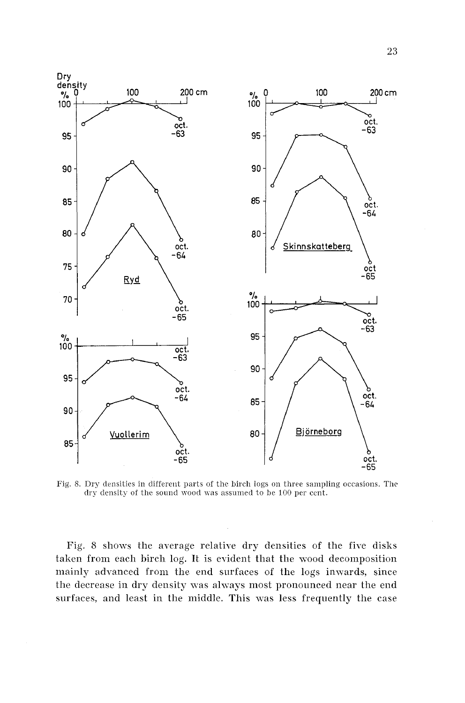

Fig. 8. Dry densities in different parts of the birch logs on three sampling occasions. The dry density of the sound wood was assumed to be 100 per cent.

Fig. 8 shows the average relative dry densities of the five disks taken from each birch log. It is evident that the wood decomposition mainly advanced from the end surfaces of the logs inwards, since the decrease in dry density was always most pronounced near the end surfaces, and least in the middle. This was less frequently the case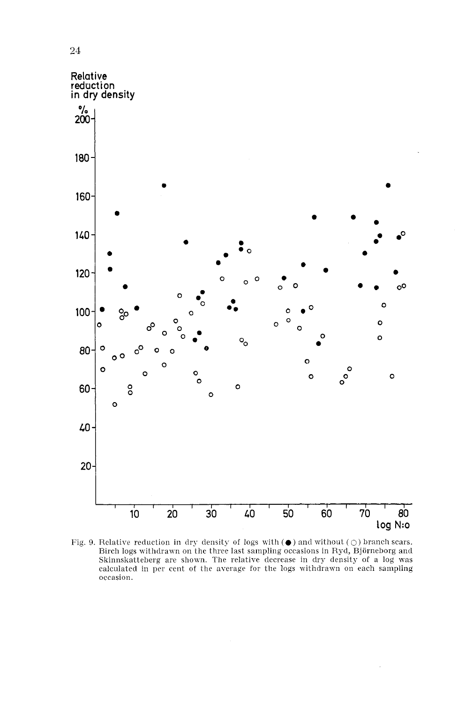

Fig. 9. Relative reduction in dry density of logs with  $(\bullet)$  and without  $(\circ)$  branch scars. Birch logs withdrawn on the three last sampling occasions in Ryd, Bjorneborg and Skinnskatteberg are shown. The relative decrease in dry density of a log was calculated in per cent of the arerage for the logs withdrawn on each sampling occasion.

 $\sqrt{24}$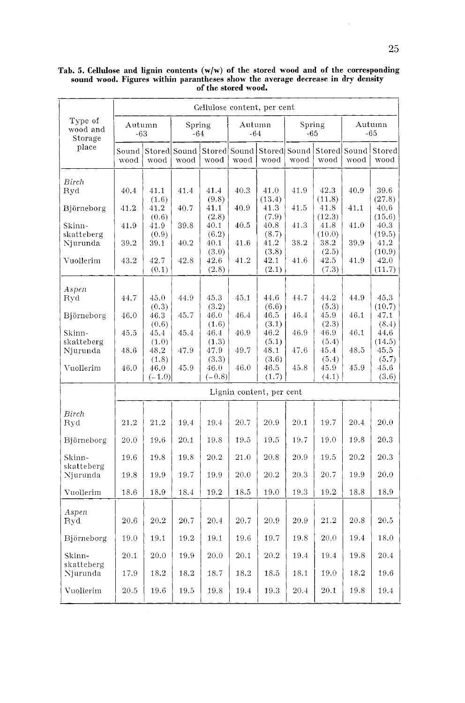|                                         | Cellulose content, per cent |               |                      |               |                      |                |                      |                |                      |                |
|-----------------------------------------|-----------------------------|---------------|----------------------|---------------|----------------------|----------------|----------------------|----------------|----------------------|----------------|
| Type of<br>wood and<br>Storage<br>place | Autumn<br>-63               |               | Spring<br>-64        |               | Autumn<br>-64        |                | Spring<br>-65        |                | Autumn<br>-65        |                |
|                                         | Sound  <br>wood             | wood          | Stored Sound<br>wood | wood          | Stored Sound<br>wood | wood           | Stored Sound<br>wood | wood           | Stored Sound<br>wood | Stored<br>wood |
| Birch                                   |                             |               |                      |               |                      |                |                      |                |                      |                |
| Ryd                                     | 40.4                        | 41.1<br>(1.6) | 41.4                 | 41.4<br>(9.8) | 40.3                 | 41,0<br>(13.4) | 41.9                 | 42.3<br>(11.8) | 40.9                 | 39.6<br>(27.8) |
| Björneborg                              | 41.2                        | 41.2          | 40.7                 | 41.1          | 40.9                 | 41.3           | 41.5                 | 41.8           | 41.1                 | 40.6           |
| Skinn-                                  | 41.9                        | (0.6)<br>41.9 | 39.8                 | (2.8)<br>40.1 | 40.5                 | (7.9)<br>40.8  | 41.3                 | (12.3)<br>41.8 | 41.0                 | (15.6)<br>40.3 |
| skatteberg                              |                             | (0.9)         |                      | (6.2)         |                      | (8.7)          |                      | (10.0)         |                      | (19.5)         |
| Njurunda                                | 39.2                        | 39.1          | 40.2                 | 40.1          | 41.6                 | 41.2           | 38.2                 | 38.2           | 39.9                 | 41.2           |
| Vuollerim                               | 43.2                        | 42.7          | 42.8                 | (3.0)<br>42.6 | 41.2                 | (3.8)<br>42.1  | 41.6                 | (2.5)<br>42.5  | 41.9                 | (10.9)<br>42.0 |
|                                         |                             | (0.1)         |                      | (2.8)         |                      | (2.1)          |                      | (7.3)          |                      | (11.7)         |
| Aspen                                   |                             |               |                      |               |                      |                |                      |                |                      |                |
| Ryd                                     | 44.7                        | 45.0          | 44.9                 | 45.3          | 45.1                 | 44.6           | 44.7                 | 44.2           | 44.9                 | 45.3           |
|                                         |                             | (0.3)         |                      | (3.2)         |                      | (6.6)          |                      | (5.3)          |                      | (10.7)         |
| Björneborg                              | 46.0                        | 46.3          | 45.7                 | 46.0          | 46.4                 | 46.5           | 46.4                 | 45.9           | 46.1                 | 47.1           |
| Skinn-                                  | 45.5                        | (0.6)<br>45.4 | 45.4                 | (1.6)<br>46.4 | 46.9                 | (3.1)<br>46.2  | 46.9                 | (2.3)<br>46.9  | 46.1                 | (8.4)<br>44.6  |
| skatteberg                              |                             | (1.0)         |                      | (1.3)         |                      | (5.1)          |                      | (5.4)          |                      | (14.5)         |
| Njurunda                                | 48.6                        | 48.2          | 47.9                 | 47.9          | 49.7                 | 48.1           | 47.6                 | 45.4           | 48.5                 | 45.5           |
|                                         |                             | (1.8)         |                      | (3.3)         |                      | (3.6)          |                      | (5.4)          |                      | (5.7)          |
| Vuollerim                               | 46.0                        | 46.0          | 45.9                 | 46.0          | 46.0                 | 46.5           | 45.8                 | 45.9           | 45.9                 | 45.6           |
|                                         |                             | $(-1.0)$      |                      | $(-0.8)$      |                      | (1,7)          |                      | (4.1)          |                      | (3.6)          |
|                                         | Lignin content, per cent    |               |                      |               |                      |                |                      |                |                      |                |
| Birch                                   |                             |               |                      |               |                      |                |                      |                |                      |                |
| Ryd                                     | 21.2                        | 21.2          | 19.4                 | 19.4          | 20.7                 | 20.9           | 20.1                 | 19.7           | 20.4                 | 20.0           |
| Björneborg                              | 20.0                        | 19.6          | 20.1                 | 19.8          | 19.5                 | 19.5           | 19.7                 | 19.0           | 19.8                 | 20.3           |
| Skinn-                                  | 19.6                        | 19.8          | 19.8                 | 20.2          | 21.0                 | 20.8           | 20.9                 | 19.5           | 20.2                 | 20.3           |
| skatteberg                              |                             |               |                      |               |                      |                |                      |                |                      |                |
| Njurunda                                | 19.8                        | 19.9          | 19.7                 | 19.9          | 20.0                 | 20.2           | 20.3                 | 20.7           | 19.9                 | 20.0           |
| Vuollerim                               | 18.6                        | 18.9          | 18.4                 | 19.2          | 18.5                 | 19.0           | 19.3                 | 19.2           | 18.8                 | 18.9           |
|                                         |                             |               |                      |               |                      |                |                      |                |                      |                |
| Aspen<br>Ryd                            | 20.6                        | 20.2          | 20.7                 | 20.4          | 20.7                 | 20.9           | 20.9                 | 21.2           | 20.8                 | 20.5           |
|                                         |                             |               |                      |               |                      |                |                      |                |                      |                |
| Björneborg                              | 19.0                        | 19.1          | 19.2                 | 19.1          | 19.6                 | 19.7           | 19.8                 | 20.0           | 19.4                 | 18.0           |
| Skinn-                                  | 20.1                        | 20.0          | 19.9                 | 20.0          | 20.1                 | 20.2           | 19.4                 | 19.4           | 19.8                 | 20.4           |
| skatteberg<br>Njurunda                  | 17.9                        | 18.2          | 18.2                 | 18.7          | 18.2                 | 18.5           | 18.1                 | 19.0           | 18.2                 | 19.6           |
|                                         |                             |               |                      |               |                      |                |                      |                |                      |                |
| Vuollerim                               | 20.5                        | 19.6          | 19.5                 | 19.8          | 19.4                 | 19.3           | 20.4                 | 20.1           | 19.8                 | 19.4           |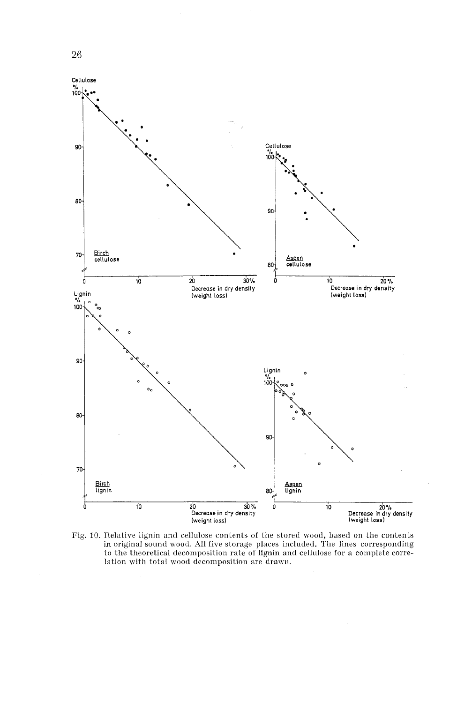

Fig. 10. Relative lignin and cellulose contents of the stored wood, based on the contents in original sound wood. All five storage places included. The lines corresponding to the theoretical decomposition rate of lignin and cellulose for a complete correlation with total wood decomposition are drawn.

26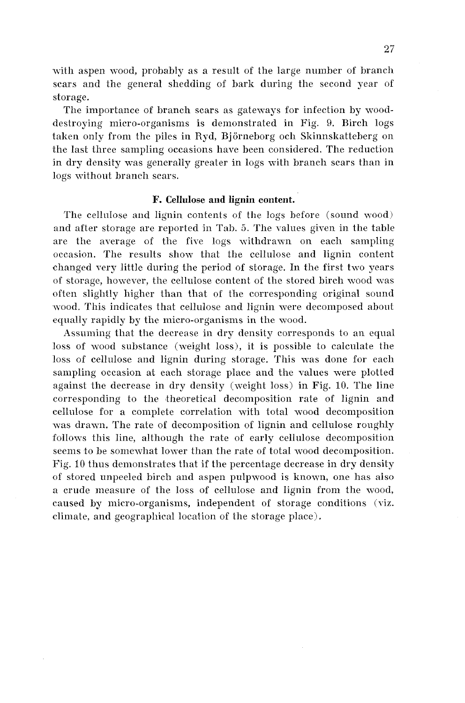with aspen wood, probably as a result of the large number of branch scars and the general shedding of bark during the second year of storage.

The importance of branch scars as gatewags for infection by wooddestroying micro-organisms is demonstrated in Fig. 9. Birch logs taken only from the piles in Kyd, Bjorneborg och Skinnskatteherg on the last three sampling occasions have been considered. The reduction in dry density was generally greater in logs with branch scars than in logs without branch scars.

#### **F. Cellulose and lignin content.**

The cellulose and lignin contents of the logs before (sound wood) and after storage are reported in Tah. 5. The values given in the table are the average of the five logs withdrawn on each sampling occasion. The results show that the cellulose and lignin content changed very little during the period of storage. In the first two years of storage, however, the cellulose content of the stored birch wood was often slightly higher than that of the corresponding original sound wood. This indicates that cellulose and lignin were decomposed about equally rapidly by the micro-organisms in the wood.

Assuming that the decrease in dry density corresponds to an equal loss of wood substance (weight loss), it is possible to calculate the loss of cellulose and lignin during storage. This was done for each sampling occasion at each storage place and the values were plotted against the decrease in dry density (weight loss) in Fig. 10. The line corresponding to the theoretical decomposition rate of lignin and cellulose for a complete correlation with total wood decomposition was drawn. The rate of decomposition of lignin and cellulose roughly follows this line, although the rate of early cellulose decomposition seems to be somewhat lower than the rate of total wood decomposition. Fig. 10 thus demonstrates that if the percentage decrease in dry density of stored unpeeled birch and aspen pulpwood is known, one has also a crude measure of the loss of cellulose and lignin from the wood, caused by micro-organisms, independent of storage conditions (viz. climate, and geographical location of the storage place).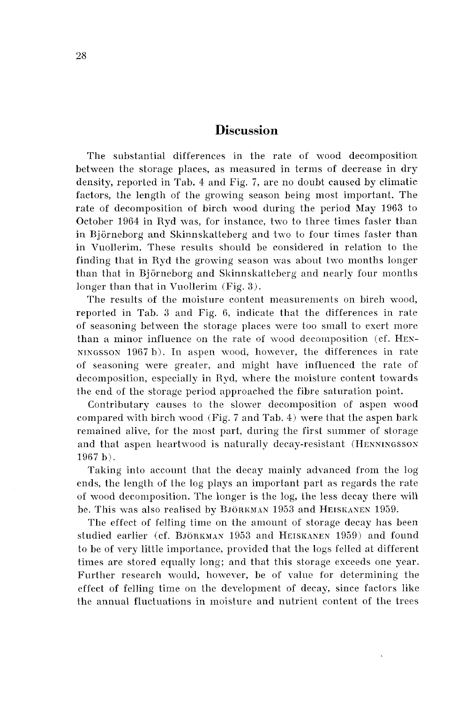# **Discussion**

The snbstantial differences in the rate of wood decomposition between the storage places, as measured in terms of decrease in dry density, reported in Tab. 4 and Fig. 7, are no doubt caused by climatic factors, the length of the growing season being most important. The rate of decomposition of birch wood during the period May 1963 to October 1964 in Ryd was, for instance, two to three times faster than in Björneborg and Skinnskatteberg and two to four times faster than in Vuollerim. These results should be considered in relation to the finding that in Ryd the growing season was about two months longer than that in Björneborg and Skinnskatteberg and nearly four months longer than that in Vuollerim (Fig. 3).

The results of the moisture content measurements on birch wood, reported in Tab. **3** and Fig. 6, indicate that the differences in rate of seasoning between the storage places were too small to exert more than a minor influence on the rate of wood decomposition (cf. HEN-NINGSSON 1967 b). In aspen wood, however, the differences in rate of seasoning were greater, and might have influenced the rate of decomposition, especially in Ryd, mhere the moisture content towards the end of the storage period approached the fibre saturation point.

Contributary causes to the slower decomposition of aspen wood compared with birch wood (Fig. **7** and Tab. 4) were that the aspen bark remained alive, for the most part, during the first summer of storage and that aspen heartwood is naturally decay-resistant (HENNINGSSOS 1967 b).

Taking into account that the decay mainly advanced from the log ends, the length of the log plays an important part as regards the rate of wood decomposition. The longer is the log, the less decay there will be. This was also realised by BJÖRKMAN 1953 and HEISKANEN 1959.

The effect of felling time on the amount of storage decay has been studied earlier (cf. BJÖRKMAN 1953 and HEISKANEN 1959) and found to be of very little importance, provided that the logs felled at different times are stored equally long; and that this storage exceeds one year. Further research would, however, be of value for determining the effect of felling time on the development of decay, since factors like the annual fluctuations in moisture and nutrient content of the trees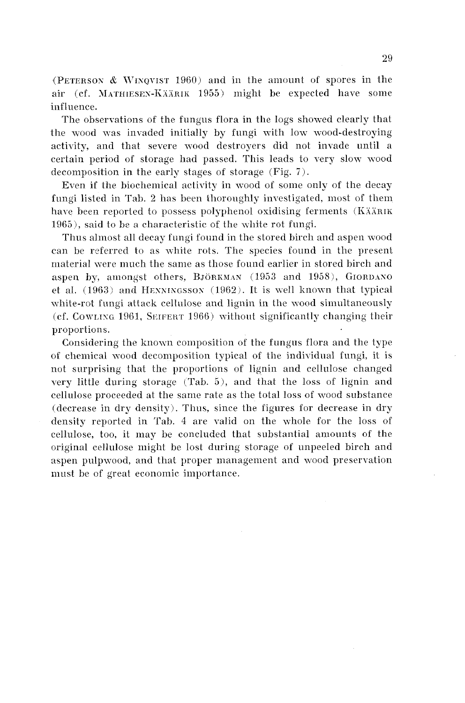(PETERSON & WINQVIST 1960) and in the amount of spores in the air (cf. MATHIESEN-KÄÄRIK 1955) might be expected have some influence.

The observations of the fungus flora in the logs showed clearly that the wood was invaded initially by fungi with low wood-destroying activity, and that severe wood destroyers did not invade until a certain period of storage had passed. This leads to very slow wood decomposition in the early stages of storage (Fig. *7).* 

Even if the biochemical activity in wood of some only of the decay fungi listed in Tab. 2 has been thoroughly investigated, most of them have been reported to possess polyphenol oxidising ferments (KÄÄRIK 1965), said to be a characteristic of the uhite rot fungi.

Thus almost all decay fungi found in the stored birch and aspen wood can be referred to as white rots. The species found in the present material vere much the same as those found earlier in stored birch and aspen by, amongst others,  $Bj\ddot{o}RWMAN$  (1953 and 1958),  $GjORDANO$ et al.  $(1963)$  and HENNINGSSON  $(1962)$ . It is well known that typical white-rot fungi attack cellulose and lignin in the wood simultaneously  $i$  (cf. COWLING 1961, SEIFERT 1966) without significantly changing their proportions.

Considering the known composition of the fungus flora and the type of chemical wood decomposition typical of the individual fungi, it is not surprising that the proportions of lignin and cellulose changed very little during storage (Tab. *5),* and that the loss of lignin and cellulose proceeded at the same rate as the total loss of wood substance (decrease in dry density). Thus, since the figures for decrease in dry density reported in Tab. 4 are valid on the \%hole for the loss of cellulose, too, it may be concluded that substantial amounts of the original cellulose might be lost during storage of unpeeled birch and aspen pulpwood, and that proper management and wood preservation must be of great economic importance.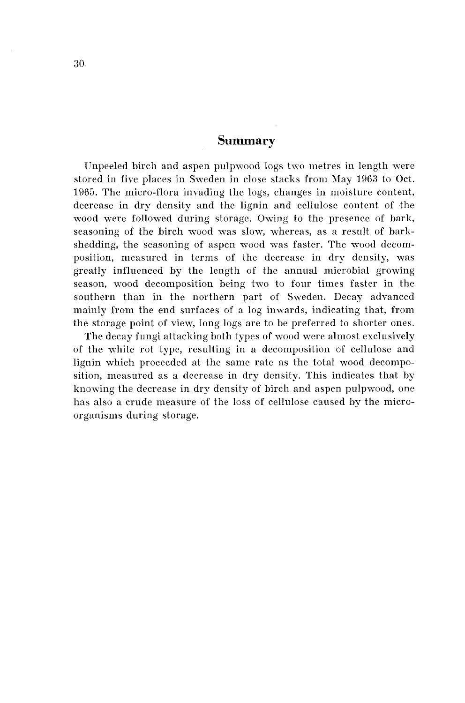# **Summary**

Unpeeled birch and aspen pulpwood logs two metres in length were stored in five places in Sweden in close stacks from May 1963 to Oct. 1965. The micro-flora invading the logs, changes in moisture content, decrease in dry density and the lignin and cellulose content of the wood were followed during storage. Owing to the presence of bark, seasoning of the birch wood was slow, whereas, as a result of barkshedding, the seasoning of aspen wood was faster. The wood decomposition, measured in terms of the decrease in dry density, was greatly influenced by the length of the annual microbial growing season, wood decomposition being two to four times faster in the southern than in the northern part of Sweden. Decay advanced mainly from the end surfaces of a log inwards, indicating that, from the storage point of view, long logs are to be preferred to shorter ones.

The decay fungi attacking both types of wood were almost exclusively of the white rot type, resulting in a decomposition of cellulose and lignin which proceeded at the same rate as the total wood decomposition, measured as a decrease in dry density. This indicates that by knowing the decrease in dry density of birch and aspen pulpwood, one has also a crude measure of the loss of cellulose caused by the microorganisms during storage.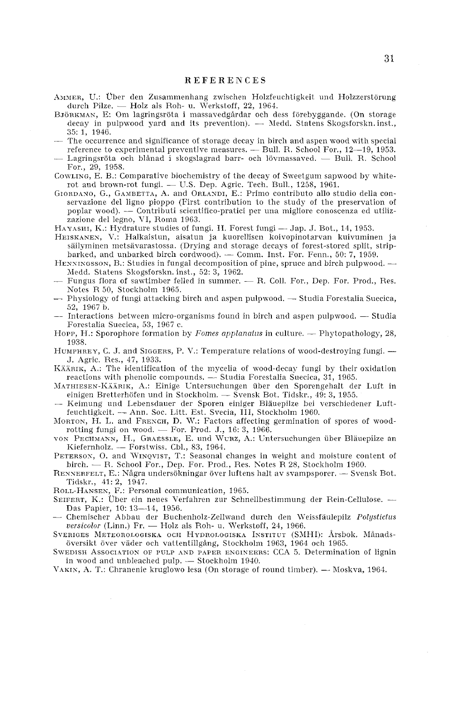#### REFERENCES

- Aммек, U.: Über den Zusammenhang zwischen Holzfeuchtigkeit und Holzzerstörung uer, U.: Über den Zusammenhang zwischen Holzfeu<br>durch Pilze. — Holz als Roh- u. Werkstoff, 22, 1964.<br>invatta: E. Om lagringsräta i massavedgårder och de
- BJÖRKMAN, E: Om lagringsröta i massavedgårdar och dess förebyggande. (On storage durch Pilze. — Holz als Roh- u. Werkstoff, 22, 1964.<br>5RKMAN, E: Om lagringsröta i massavedgårdar och dess förebyggande. (On storage decay in pulpwood yard and its prevention). — Medd. Statens Skogsforskn.inst., 35: 1, 1946. decay in pulpwood yard and its prevention). — Medd. Statens Skogsforskn. inst.,<br>  $35:1$ , 1946.<br>
— The occurrence and significance of storage decay in birch and aspen wood with special<br>
reference to experimental preventive
- 35: 1, 1946.<br>The occurrence and significance of storage decay in birch and aspen wood with special<br>reference to experimental preventive measures. --- Bull. R. School For., 12-–19, 1953.<br>Legislation Correlation of the stora
- The occurrence and significance of storage decay in birch and aspen wood with special<br>reference to experimental preventive measures. Bull. R. School For., 12—19, 1953.<br>— Lagringsröta och blånad i skogslagrad barr- och For., 29, 1958.
- CowLING, E. B.: Comparative biochemistry of the decay of Sweetgum sapwood by white-For., 29, 1958.<br>WLING, E. B.: Comparative biochemistry of the decay of Sweetgum sapw<br>rot and brown-rot fungi. — U.S. Dep. Agric. Tech. Bull., 1258, 1961.<br>Total Gricollogies — U.S. Ond ORLYN, F.: Prime contribute ellecti
- GIORDANO, G., GAMBETTA, A. and ORLANDI, E.: Primo contributo allo studio della con-<br>servazione del ligno pioppo (First contribution to the study of the preservation of<br>poplar wood). -- Contributi scientifico-pratici per un servazione del ligno pioppo (First contribution to the study of the preservation of poplar wood). — Contributi scientifico-pratici per una migliore conoscenza ed utilizzazione del legno, VI, Roma 1963.
- HAYASHI, K.: Hydrature studies of fungi. II. Forest fungi Jap. J. Bot., 14, 1953.
- HEISKANES, V.: Halkaistun, aisatun ja kuorellisen koivopinotarvan kuivuminen ja säilyminen metsävarastossa. (Drying and storage decays of forest-stored split, strip-<br>barked, and unbarked birch cordwood). -- Comm. Inst. For säilyminen metsävarastossa. (Drying and storage decays of forest-stored split, strip-<br>barked, and unbarked birch cordwood). — Comm. Inst. For. Fenn., 50: 7, 1959. säilyminen metsävarastossa. (Drying and storage decays of forest-stored split, strip-<br>barked, and unbarked birch cordwood). --- Comm. Inst. For. Fenn., 50: 7, 1959.<br>HENNINGSSON, B.: Studies in fungal decomposition of pine
- Medd. Statens Skogsforskn. inst., 52: 3, 1962.<br>Fungus flora of sawtimber felled in summer. R. Coll. For., Dep. For. Prod., Res. HENNINGSSON, B.: Studies in fungal decomposition of pine, spruce and birch pulpwood. ---<br>Medd. Statens Skogsforskn. inst., 52: 3, 1962.<br>---- Fungus flora of sawtimber felled in summer. --- R. Coll. For., Dep. For. Prod.,
- Notes R 50, Stockholm 1965. - Physiology of fungi attacking birch and aspen pulpxood. - Studia Forestalia Suecica,
- 52, 1967 b.<br>— Interactions between micro-organisms found in birch and aspen pulpwood. Studia -- Physiology of fungi attacking birch and aspen pulpwood. --- Studia Forestalia Suecica,<br>52, 1967 b.<br>--- Interactions between micro-organisms found in birch and aspen pulpwood. --- Studia
- Forestalia Suecica, 53, 1967 c.
- HOPP, H.: Sporophore formation by *Fomes applanafrx* in culture. Phytopathology, 28, 1938.
- HUMPHREY, C. J. and SIGGERS, P. V.: Temperature relations of wood-destroying fungi. -J. Agric. Res., 47, 1933.
- Käärik, A.: The identification of the mycelia of wood-decay fungi by their oxidation J. Agric. Res., 47, 1933.<br>
ERIK, A.: The identification of the mycelia of wood-decay fungi by their<br>
reactions with phenolic compounds. -- Studia Forcstalia Suecica, 31, 1965.<br>
The music compounds. The such property decay
- MATHIESEN-KÄÄRIK, A.: Einige Untersuchungen über den Sporengehalt der Luft in reactions with phenolic compounds. -- Studia Forestalia Suecica, 31, 1965.<br>FHIESEN-KÄÄRIK, A.: Einige Untersuchungen über den Sporengehalt der<br>einigen Bretterhöfen und in Stockholm. -- Svensk Bot. Tidskr., 49: 3, 1955.
- MATHIESEN-KÄÄRIK, A.: Einige Untersuchungen über den Sporengehalt der Luft in einigen Bretterhöfen und in Stockholm. Svensk Bot. Tidskr., 49: 3, 1955.<br>— Keimung und Lebensdauer der Sporen einiger Bläuepilze bei verschied
- MORTON, H. L. and FRENCH, D. W.: Factors affecting germination of spores of woodrotting function and FRENCH, Est. Svecia, III, Stocknow, H. L. and FRENCH, D. W.: Factors affecting<br>rotting fungi on wood. -- For. Prod. J., 16: 3, 1966.<br>PECIMANN H. CRAFSSLE F. Prod. WURZ, A.: Unt.
- VON PECHMANN, H., GRAESSLE, E. und WURZ, A.: Untersuchungen über Bläuepilze an rotting fungi on wood. — For. Prod. J., 16: 3, 1966.<br>N PECHMANN, H., GRAESSLE, E. und WURZ, A.: Unt<br>Kiefernholz. — Forstwiss. Cbl., 83, 1964.
- PETERSON, O. and WINQVIST, T.: Seasonal changes in weight and moisture content of Kiefernholz. --- Forstwiss. Cbl., 83, 1964.<br>
ERSON, O. and WINQVIST, T.: Seasonal changes in weight and moisture con-<br>
birch. --- R. School For., Dep. For. Prod., Res. Notes R 28, Stockholm 1960.<br>
-------------------------PETERSON, O. and WINQVIST, T.: Seasonal changes in weight and moisture content of<br>birch. — R. School For., Dep. For. Prod., Res. Notes R 28, Stockholm 1960.<br>RENNERFELT, E.: Några undersökningar över luftens halt av svamps
- Tidskr., 41: 2, 1947.
- ROLL-HANSEX, F.: Personal communication, 1965.
- SEIFERT. K.: Über ein neues Verfahren zur Schnellbestimmung der Rein-Cellulose. -Das Papier, 10: 13-14, 1956. SEIFERT, K.: Über ein neues Verfahren zur Schnellbestimmung der Rein-Cellulose. — Das Papier, 10: 13—14, 1956.<br>— Chemischer Abbau der Buchenholz-Zellwand durch den Weissfäulepilz *Polystictus* — Chemischer Libbau der Buche
- Das Papier, 10: 13—14, 1956.<br>Chemischer Abbau der Buchenholz-Zellwand durch den We*versicolor* (Linn.) Fr. Holz als Roh- u. Werkstoff, 24, 1966.<br>Transformation of the U.S. Roh- u. Type-tecture (Diversion of N
- SVERIGES METEOROLOGISKA OCH HYDROLOGISKA INSTITUT (SMHI): Årsbok. Månadsöversikt över väder och vattentillgång, Stockholm 1963, 1964 och 1965.
- SWEDISH ASSOCIATION OF PULP AND PAPER ENGINEERS: CCA 5. Determination of lignin<br>in wood and unbleached pulp. -- Stockholm 1940.<br>VAKIN, A. T.: Chranenie kruglowo lesa (On storage of round timber). --- Moskva, 1964. in wood and unbleached pulp. — Stockholm 1940.<br>VAKIN, A. T.: Chranenie kruglowo lesa (On storage of round timber). — Moskva, 1964.
-